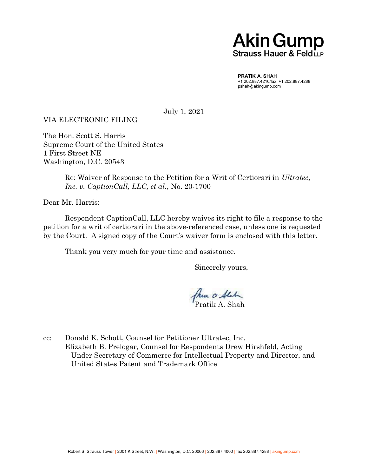## **Akin Gump** Strauss Hauer & Feld LLP

PRATIK A. SHAH +1 202.887.4210/fax: +1 202.887.4288 pshah@akingump.com

July 1, 2021

VIA ELECTRONIC FILING

The Hon. Scott S. Harris Supreme Court of the United States 1 First Street NE Washington, D.C. 20543

> Re: Waiver of Response to the Petition for a Writ of Certiorari in Ultratec, Inc. v. CaptionCall, LLC, et al., No. 20-1700

Dear Mr. Harris:

 Respondent CaptionCall, LLC hereby waives its right to file a response to the petition for a writ of certiorari in the above-referenced case, unless one is requested by the Court. A signed copy of the Court's waiver form is enclosed with this letter.

Thank you very much for your time and assistance.

Sincerely yours,

franco State

cc: Donald K. Schott, Counsel for Petitioner Ultratec, Inc. Elizabeth B. Prelogar, Counsel for Respondents Drew Hirshfeld, Acting Under Secretary of Commerce for Intellectual Property and Director, and United States Patent and Trademark Office